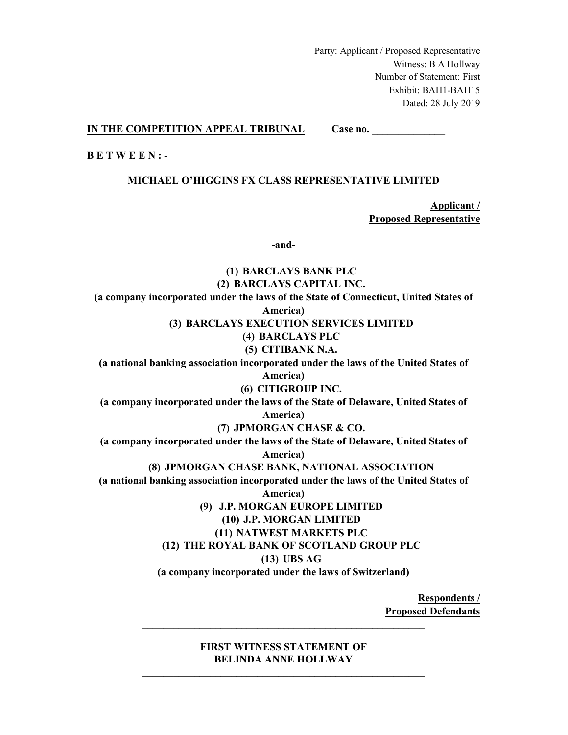Party: Applicant / Proposed Representative Witness: B A Hollway Number of Statement: First Exhibit: BAH1-BAH15 Dated: 28 July 2019

**IN THE COMPETITION APPEAL TRIBUNAL Case no.** \_\_\_\_\_\_\_\_\_\_\_\_\_\_

**B E T W E E N : -** 

## **MICHAEL O'HIGGINS FX CLASS REPRESENTATIVE LIMITED**

**Applicant / Proposed Representative** 

**-and-** 

# **(1) BARCLAYS BANK PLC (2) BARCLAYS CAPITAL INC. (a company incorporated under the laws of the State of Connecticut, United States of America) (3) BARCLAYS EXECUTION SERVICES LIMITED (4) BARCLAYS PLC (5) CITIBANK N.A. (a national banking association incorporated under the laws of the United States of America) (6) CITIGROUP INC. (a company incorporated under the laws of the State of Delaware, United States of America) (7) JPMORGAN CHASE & CO. (a company incorporated under the laws of the State of Delaware, United States of America) (8) JPMORGAN CHASE BANK, NATIONAL ASSOCIATION (a national banking association incorporated under the laws of the United States of America) (9) J.P. MORGAN EUROPE LIMITED (10) J.P. MORGAN LIMITED (11) NATWEST MARKETS PLC (12) THE ROYAL BANK OF SCOTLAND GROUP PLC (13) UBS AG (a company incorporated under the laws of Switzerland)**

**Respondents / Proposed Defendants \_\_\_\_\_\_\_\_\_\_\_\_\_\_\_\_\_\_\_\_\_\_\_\_\_\_\_\_\_\_\_\_\_\_\_\_\_\_\_\_\_\_\_\_\_\_\_\_\_\_\_\_\_\_** 

> **FIRST WITNESS STATEMENT OF BELINDA ANNE HOLLWAY**

**\_\_\_\_\_\_\_\_\_\_\_\_\_\_\_\_\_\_\_\_\_\_\_\_\_\_\_\_\_\_\_\_\_\_\_\_\_\_\_\_\_\_\_\_\_\_\_\_\_\_\_\_\_\_**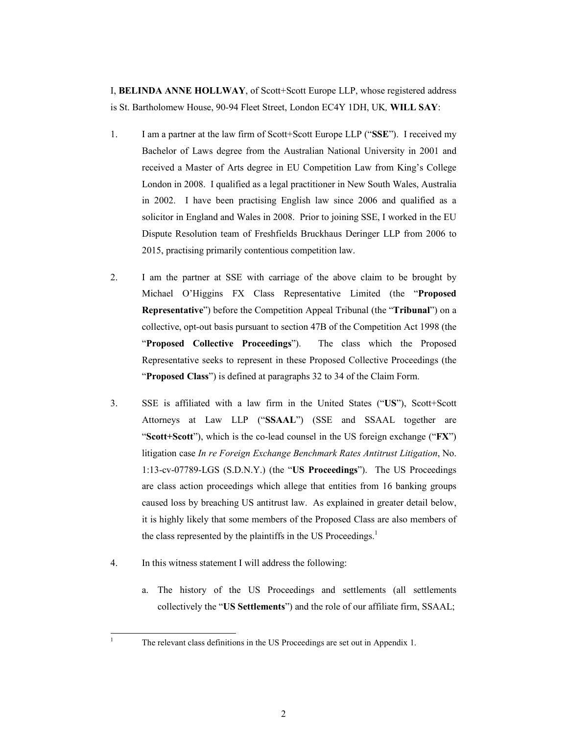I, **BELINDA ANNE HOLLWAY**, of Scott+Scott Europe LLP, whose registered address is St. Bartholomew House, 90-94 Fleet Street, London EC4Y 1DH, UK*,* **WILL SAY**:

- 1. I am a partner at the law firm of Scott+Scott Europe LLP ("**SSE**"). I received my Bachelor of Laws degree from the Australian National University in 2001 and received a Master of Arts degree in EU Competition Law from King's College London in 2008. I qualified as a legal practitioner in New South Wales, Australia in 2002. I have been practising English law since 2006 and qualified as a solicitor in England and Wales in 2008. Prior to joining SSE, I worked in the EU Dispute Resolution team of Freshfields Bruckhaus Deringer LLP from 2006 to 2015, practising primarily contentious competition law.
- 2. I am the partner at SSE with carriage of the above claim to be brought by Michael O'Higgins FX Class Representative Limited (the "**Proposed Representative**") before the Competition Appeal Tribunal (the "**Tribunal**") on a collective, opt-out basis pursuant to section 47B of the Competition Act 1998 (the "**Proposed Collective Proceedings**"). The class which the Proposed Representative seeks to represent in these Proposed Collective Proceedings (the "**Proposed Class**") is defined at paragraphs 32 to 34 of the Claim Form.
- 3. SSE is affiliated with a law firm in the United States ("**US**"), Scott+Scott Attorneys at Law LLP ("**SSAAL**") (SSE and SSAAL together are "**Scott+Scott**"), which is the co-lead counsel in the US foreign exchange ("**FX**") litigation case *In re Foreign Exchange Benchmark Rates Antitrust Litigation*, No. 1:13-cv-07789-LGS (S.D.N.Y.) (the "**US Proceedings**"). The US Proceedings are class action proceedings which allege that entities from 16 banking groups caused loss by breaching US antitrust law. As explained in greater detail below, it is highly likely that some members of the Proposed Class are also members of the class represented by the plaintiffs in the US Proceedings.<sup>1</sup>
- 4. In this witness statement I will address the following:
	- a. The history of the US Proceedings and settlements (all settlements collectively the "**US Settlements**") and the role of our affiliate firm, SSAAL;

 $\frac{1}{1}$ 

The relevant class definitions in the US Proceedings are set out in Appendix 1.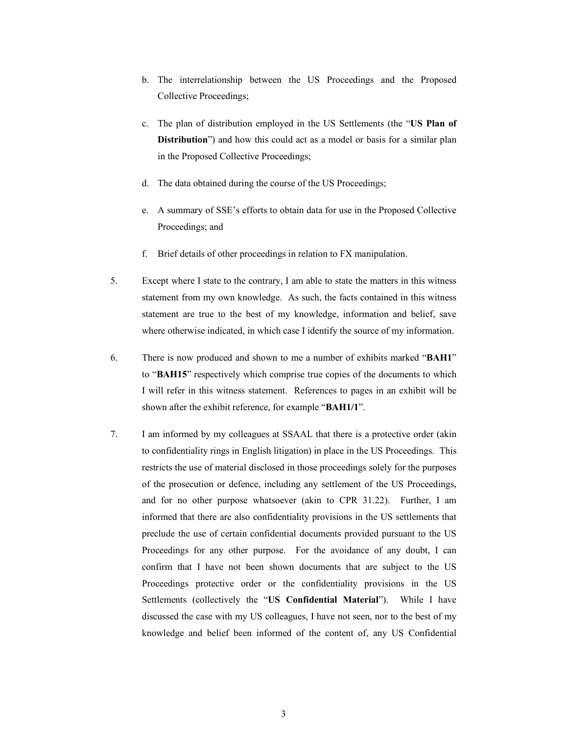- b. The interrelationship between the US Proceedings and the Proposed Collective Proceedings;
- c. The plan of distribution employed in the US Settlements (the "**US Plan of Distribution**") and how this could act as a model or basis for a similar plan in the Proposed Collective Proceedings;
- d. The data obtained during the course of the US Proceedings;
- e. A summary of SSE's efforts to obtain data for use in the Proposed Collective Proceedings; and
- f. Brief details of other proceedings in relation to FX manipulation.
- 5. Except where I state to the contrary, I am able to state the matters in this witness statement from my own knowledge. As such, the facts contained in this witness statement are true to the best of my knowledge, information and belief, save where otherwise indicated, in which case I identify the source of my information.
- 6. There is now produced and shown to me a number of exhibits marked "**BAH1**" to "**BAH15**" respectively which comprise true copies of the documents to which I will refer in this witness statement. References to pages in an exhibit will be shown after the exhibit reference, for example "**BAH1/1**".
- 7. I am informed by my colleagues at SSAAL that there is a protective order (akin to confidentiality rings in English litigation) in place in the US Proceedings. This restricts the use of material disclosed in those proceedings solely for the purposes of the prosecution or defence, including any settlement of the US Proceedings, and for no other purpose whatsoever (akin to CPR 31.22). Further, I am informed that there are also confidentiality provisions in the US settlements that preclude the use of certain confidential documents provided pursuant to the US Proceedings for any other purpose. For the avoidance of any doubt, I can confirm that I have not been shown documents that are subject to the US Proceedings protective order or the confidentiality provisions in the US Settlements (collectively the "**US Confidential Material**"). While I have discussed the case with my US colleagues, I have not seen, nor to the best of my knowledge and belief been informed of the content of, any US Confidential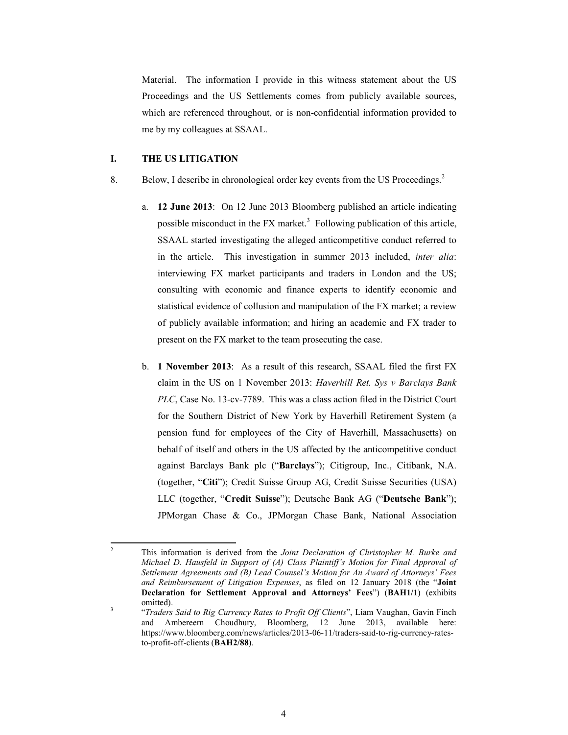Material. The information I provide in this witness statement about the US Proceedings and the US Settlements comes from publicly available sources, which are referenced throughout, or is non-confidential information provided to me by my colleagues at SSAAL.

# **I. THE US LITIGATION**

- 8. Below, I describe in chronological order key events from the US Proceedings.<sup>2</sup>
	- a. **12 June 2013**: On 12 June 2013 Bloomberg published an article indicating possible misconduct in the  $FX$  market.<sup>3</sup> Following publication of this article, SSAAL started investigating the alleged anticompetitive conduct referred to in the article. This investigation in summer 2013 included, *inter alia*: interviewing FX market participants and traders in London and the US; consulting with economic and finance experts to identify economic and statistical evidence of collusion and manipulation of the FX market; a review of publicly available information; and hiring an academic and FX trader to present on the FX market to the team prosecuting the case.
	- b. **1 November 2013**: As a result of this research, SSAAL filed the first FX claim in the US on 1 November 2013: *Haverhill Ret. Sys v Barclays Bank PLC*, Case No. 13-cv-7789. This was a class action filed in the District Court for the Southern District of New York by Haverhill Retirement System (a pension fund for employees of the City of Haverhill, Massachusetts) on behalf of itself and others in the US affected by the anticompetitive conduct against Barclays Bank plc ("**Barclays**"); Citigroup, Inc., Citibank, N.A. (together, "**Citi**"); Credit Suisse Group AG, Credit Suisse Securities (USA) LLC (together, "**Credit Suisse**"); Deutsche Bank AG ("**Deutsche Bank**"); JPMorgan Chase & Co., JPMorgan Chase Bank, National Association

 $\frac{1}{2}$  This information is derived from the *Joint Declaration of Christopher M. Burke and Michael D. Hausfeld in Support of (A) Class Plaintiff's Motion for Final Approval of Settlement Agreements and (B) Lead Counsel's Motion for An Award of Attorneys' Fees and Reimbursement of Litigation Expenses*, as filed on 12 January 2018 (the "**Joint Declaration for Settlement Approval and Attorneys' Fees**") (**BAH1/1**) (exhibits  $\frac{\text{omitted}}{\text{3}}$ .

 <sup>&</sup>quot;*Traders Said to Rig Currency Rates to Profit Off Clients*", Liam Vaughan, Gavin Finch and Ambereern Choudhury, Bloomberg, 12 June 2013, available here: https://www.bloomberg.com/news/articles/2013-06-11/traders-said-to-rig-currency-ratesto-profit-off-clients (**BAH2/88**).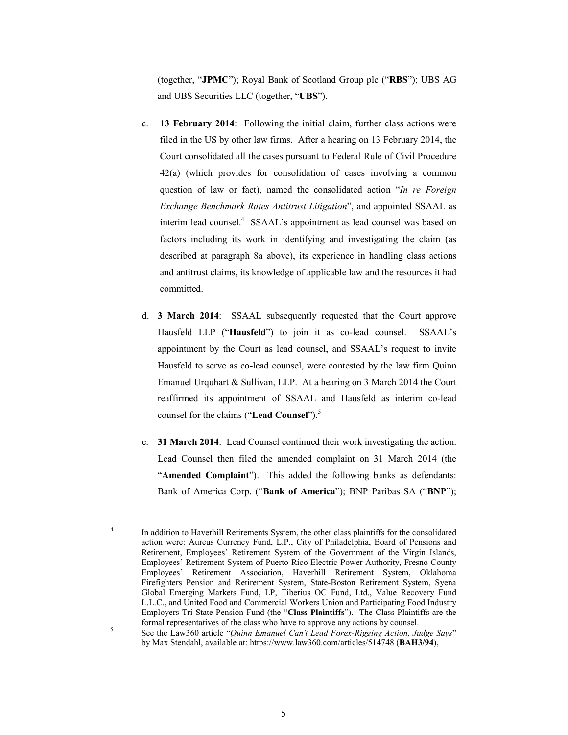(together, "**JPMC**"); Royal Bank of Scotland Group plc ("**RBS**"); UBS AG and UBS Securities LLC (together, "**UBS**").

- c. **13 February 2014**: Following the initial claim, further class actions were filed in the US by other law firms. After a hearing on 13 February 2014, the Court consolidated all the cases pursuant to Federal Rule of Civil Procedure 42(a) (which provides for consolidation of cases involving a common question of law or fact), named the consolidated action "*In re Foreign Exchange Benchmark Rates Antitrust Litigation*", and appointed SSAAL as interim lead counsel.<sup>4</sup> SSAAL's appointment as lead counsel was based on factors including its work in identifying and investigating the claim (as described at paragraph 8a above), its experience in handling class actions and antitrust claims, its knowledge of applicable law and the resources it had committed.
- d. **3 March 2014**:SSAAL subsequently requested that the Court approve Hausfeld LLP ("**Hausfeld**") to join it as co-lead counsel. SSAAL's appointment by the Court as lead counsel, and SSAAL's request to invite Hausfeld to serve as co-lead counsel, were contested by the law firm Quinn Emanuel Urquhart & Sullivan, LLP. At a hearing on 3 March 2014 the Court reaffirmed its appointment of SSAAL and Hausfeld as interim co-lead counsel for the claims ("Lead Counsel").<sup>5</sup>
- e. **31 March 2014**: Lead Counsel continued their work investigating the action. Lead Counsel then filed the amended complaint on 31 March 2014 (the "**Amended Complaint**"). This added the following banks as defendants: Bank of America Corp. ("**Bank of America**"); BNP Paribas SA ("**BNP**");

<sup>-&</sup>lt;br>4 In addition to Haverhill Retirements System, the other class plaintiffs for the consolidated action were: Aureus Currency Fund, L.P., City of Philadelphia, Board of Pensions and Retirement, Employees' Retirement System of the Government of the Virgin Islands, Employees' Retirement System of Puerto Rico Electric Power Authority, Fresno County Employees' Retirement Association, Haverhill Retirement System, Oklahoma Firefighters Pension and Retirement System, State-Boston Retirement System, Syena Global Emerging Markets Fund, LP, Tiberius OC Fund, Ltd., Value Recovery Fund L.L.C., and United Food and Commercial Workers Union and Participating Food Industry Employers Tri-State Pension Fund (the "**Class Plaintiffs**"). The Class Plaintiffs are the formal representatives of the class who have to approve any actions by counsel.

See the Law360 article "*Quinn Emanuel Can't Lead Forex-Rigging Action, Judge Says*" by Max Stendahl, available at: https://www.law360.com/articles/514748 (**BAH3/94**),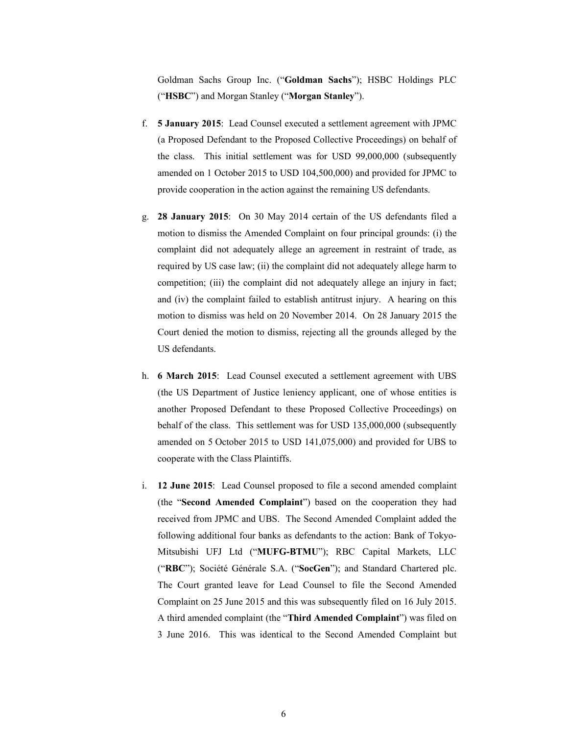Goldman Sachs Group Inc. ("**Goldman Sachs**"); HSBC Holdings PLC ("**HSBC**") and Morgan Stanley ("**Morgan Stanley**").

- f. **5 January 2015**:Lead Counsel executed a settlement agreement with JPMC (a Proposed Defendant to the Proposed Collective Proceedings) on behalf of the class. This initial settlement was for USD 99,000,000 (subsequently amended on 1 October 2015 to USD 104,500,000) and provided for JPMC to provide cooperation in the action against the remaining US defendants.
- g. **28 January 2015**: On 30 May 2014 certain of the US defendants filed a motion to dismiss the Amended Complaint on four principal grounds: (i) the complaint did not adequately allege an agreement in restraint of trade, as required by US case law; (ii) the complaint did not adequately allege harm to competition; (iii) the complaint did not adequately allege an injury in fact; and (iv) the complaint failed to establish antitrust injury. A hearing on this motion to dismiss was held on 20 November 2014. On 28 January 2015 the Court denied the motion to dismiss, rejecting all the grounds alleged by the US defendants.
- h. **6 March 2015**: Lead Counsel executed a settlement agreement with UBS (the US Department of Justice leniency applicant, one of whose entities is another Proposed Defendant to these Proposed Collective Proceedings) on behalf of the class. This settlement was for USD 135,000,000 (subsequently amended on 5 October 2015 to USD 141,075,000) and provided for UBS to cooperate with the Class Plaintiffs.
- i. **12 June 2015**: Lead Counsel proposed to file a second amended complaint (the "**Second Amended Complaint**") based on the cooperation they had received from JPMC and UBS. The Second Amended Complaint added the following additional four banks as defendants to the action: Bank of Tokyo-Mitsubishi UFJ Ltd ("**MUFG-BTMU**"); RBC Capital Markets, LLC ("**RBC**"); Société Générale S.A. ("**SocGen**"); and Standard Chartered plc. The Court granted leave for Lead Counsel to file the Second Amended Complaint on 25 June 2015 and this was subsequently filed on 16 July 2015. A third amended complaint (the "**Third Amended Complaint**") was filed on 3 June 2016. This was identical to the Second Amended Complaint but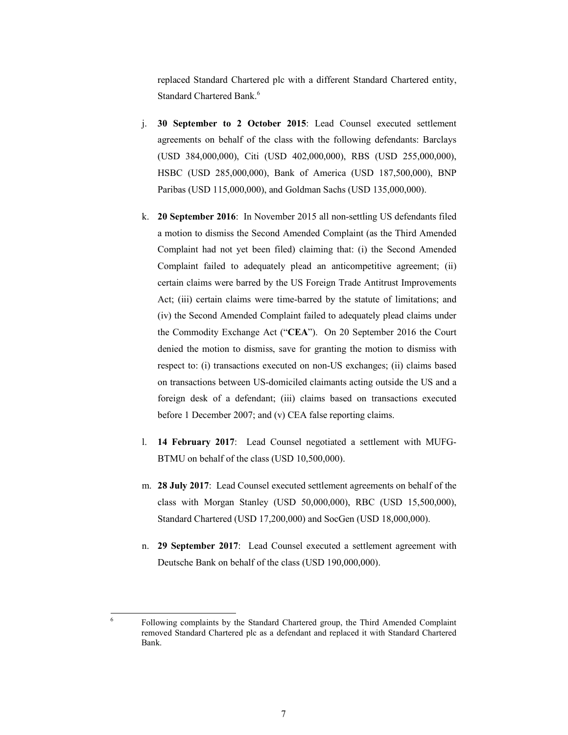replaced Standard Chartered plc with a different Standard Chartered entity, Standard Chartered Bank.<sup>6</sup>

- j. **30 September to 2 October 2015**: Lead Counsel executed settlement agreements on behalf of the class with the following defendants: Barclays (USD 384,000,000), Citi (USD 402,000,000), RBS (USD 255,000,000), HSBC (USD 285,000,000), Bank of America (USD 187,500,000), BNP Paribas (USD 115,000,000), and Goldman Sachs (USD 135,000,000).
- k. **20 September 2016**: In November 2015 all non-settling US defendants filed a motion to dismiss the Second Amended Complaint (as the Third Amended Complaint had not yet been filed) claiming that: (i) the Second Amended Complaint failed to adequately plead an anticompetitive agreement; (ii) certain claims were barred by the US Foreign Trade Antitrust Improvements Act; (iii) certain claims were time-barred by the statute of limitations; and (iv) the Second Amended Complaint failed to adequately plead claims under the Commodity Exchange Act ("**CEA**"). On 20 September 2016 the Court denied the motion to dismiss, save for granting the motion to dismiss with respect to: (i) transactions executed on non-US exchanges; (ii) claims based on transactions between US-domiciled claimants acting outside the US and a foreign desk of a defendant; (iii) claims based on transactions executed before 1 December 2007; and (v) CEA false reporting claims.
- l. **14 February 2017**: Lead Counsel negotiated a settlement with MUFG-BTMU on behalf of the class (USD 10,500,000).
- m. **28 July 2017**: Lead Counsel executed settlement agreements on behalf of the class with Morgan Stanley (USD 50,000,000), RBC (USD 15,500,000), Standard Chartered (USD 17,200,000) and SocGen (USD 18,000,000).
- n. **29 September 2017**: Lead Counsel executed a settlement agreement with Deutsche Bank on behalf of the class (USD 190,000,000).

-<br>6

Following complaints by the Standard Chartered group, the Third Amended Complaint removed Standard Chartered plc as a defendant and replaced it with Standard Chartered Bank.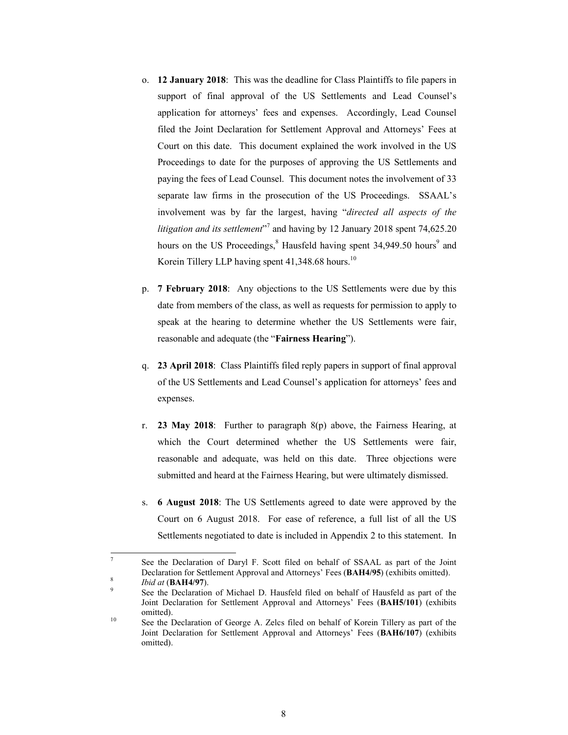- o. **12 January 2018**:This was the deadline for Class Plaintiffs to file papers in support of final approval of the US Settlements and Lead Counsel's application for attorneys' fees and expenses. Accordingly, Lead Counsel filed the Joint Declaration for Settlement Approval and Attorneys' Fees at Court on this date.This document explained the work involved in the US Proceedings to date for the purposes of approving the US Settlements and paying the fees of Lead Counsel. This document notes the involvement of 33 separate law firms in the prosecution of the US Proceedings. SSAAL's involvement was by far the largest, having "*directed all aspects of the*  litigation and its settlement<sup>37</sup> and having by 12 January 2018 spent 74,625.20 hours on the US Proceedings,<sup>8</sup> Hausfeld having spent 34,949.50 hours<sup>9</sup> and Korein Tillery LLP having spent  $41,348.68$  hours.<sup>10</sup>
- p. **7 February 2018**:Any objections to the US Settlements were due by this date from members of the class, as well as requests for permission to apply to speak at the hearing to determine whether the US Settlements were fair, reasonable and adequate (the "**Fairness Hearing**").
- q. **23 April 2018**:Class Plaintiffs filed reply papers in support of final approval of the US Settlements and Lead Counsel's application for attorneys' fees and expenses.
- r. **23 May 2018**:Further to paragraph 8(p) above, the Fairness Hearing, at which the Court determined whether the US Settlements were fair, reasonable and adequate, was held on this date. Three objections were submitted and heard at the Fairness Hearing, but were ultimately dismissed.
- s. **6 August 2018**: The US Settlements agreed to date were approved by the Court on 6 August 2018. For ease of reference, a full list of all the US Settlements negotiated to date is included in Appendix 2 to this statement.In

-

<sup>7</sup> See the Declaration of Daryl F. Scott filed on behalf of SSAAL as part of the Joint Declaration for Settlement Approval and Attorneys' Fees (**BAH4/95**) (exhibits omitted).

<sup>&</sup>lt;sup>8</sup> *Ibid at* (**BAH4/97**).

See the Declaration of Michael D. Hausfeld filed on behalf of Hausfeld as part of the Joint Declaration for Settlement Approval and Attorneys' Fees (**BAH5/101**) (exhibits <sup>10</sup> See the Declaration of George A. Zelcs filed on behalf of Korein Tillery as part of the

Joint Declaration for Settlement Approval and Attorneys' Fees (**BAH6/107**) (exhibits omitted).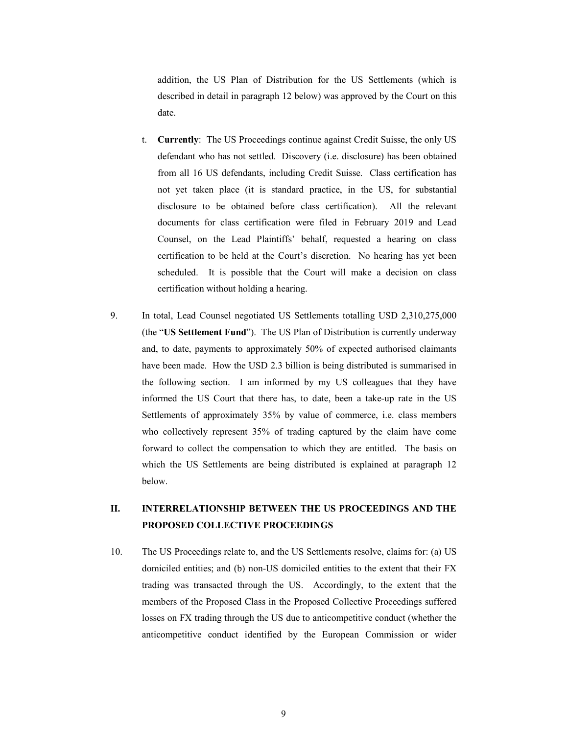addition, the US Plan of Distribution for the US Settlements (which is described in detail in paragraph 12 below) was approved by the Court on this date.

- t. **Currently**: The US Proceedings continue against Credit Suisse, the only US defendant who has not settled. Discovery (i.e. disclosure) has been obtained from all 16 US defendants, including Credit Suisse. Class certification has not yet taken place (it is standard practice, in the US, for substantial disclosure to be obtained before class certification). All the relevant documents for class certification were filed in February 2019 and Lead Counsel, on the Lead Plaintiffs' behalf, requested a hearing on class certification to be held at the Court's discretion. No hearing has yet been scheduled. It is possible that the Court will make a decision on class certification without holding a hearing.
- 9. In total, Lead Counsel negotiated US Settlements totalling USD 2,310,275,000 (the "**US Settlement Fund**"). The US Plan of Distribution is currently underway and, to date, payments to approximately 50% of expected authorised claimants have been made. How the USD 2.3 billion is being distributed is summarised in the following section. I am informed by my US colleagues that they have informed the US Court that there has, to date, been a take-up rate in the US Settlements of approximately 35% by value of commerce, i.e. class members who collectively represent 35% of trading captured by the claim have come forward to collect the compensation to which they are entitled. The basis on which the US Settlements are being distributed is explained at paragraph 12 below.

# **II. INTERRELATIONSHIP BETWEEN THE US PROCEEDINGS AND THE PROPOSED COLLECTIVE PROCEEDINGS**

10. The US Proceedings relate to, and the US Settlements resolve, claims for: (a) US domiciled entities; and (b) non-US domiciled entities to the extent that their FX trading was transacted through the US. Accordingly, to the extent that the members of the Proposed Class in the Proposed Collective Proceedings suffered losses on FX trading through the US due to anticompetitive conduct (whether the anticompetitive conduct identified by the European Commission or wider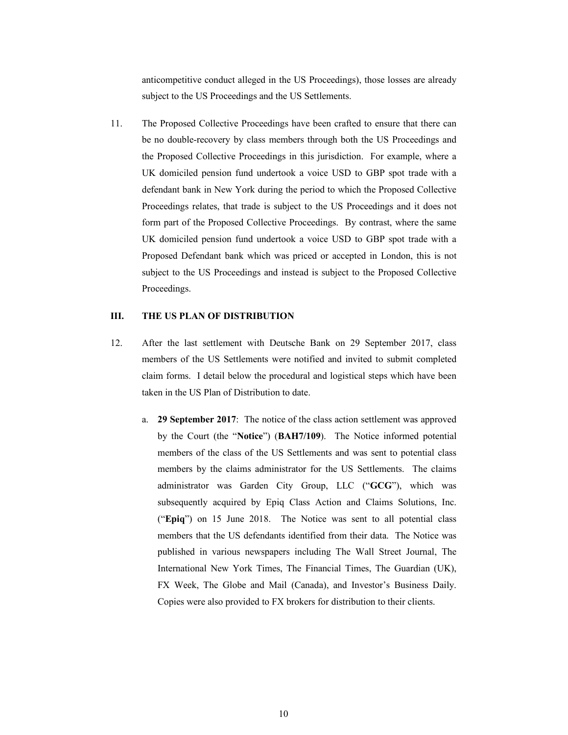anticompetitive conduct alleged in the US Proceedings), those losses are already subject to the US Proceedings and the US Settlements.

11. The Proposed Collective Proceedings have been crafted to ensure that there can be no double-recovery by class members through both the US Proceedings and the Proposed Collective Proceedings in this jurisdiction. For example, where a UK domiciled pension fund undertook a voice USD to GBP spot trade with a defendant bank in New York during the period to which the Proposed Collective Proceedings relates, that trade is subject to the US Proceedings and it does not form part of the Proposed Collective Proceedings. By contrast, where the same UK domiciled pension fund undertook a voice USD to GBP spot trade with a Proposed Defendant bank which was priced or accepted in London, this is not subject to the US Proceedings and instead is subject to the Proposed Collective Proceedings.

### **III. THE US PLAN OF DISTRIBUTION**

- 12. After the last settlement with Deutsche Bank on 29 September 2017, class members of the US Settlements were notified and invited to submit completed claim forms. I detail below the procedural and logistical steps which have been taken in the US Plan of Distribution to date.
	- a. **29 September 2017**: The notice of the class action settlement was approved by the Court (the "**Notice**") (**BAH7/109**). The Notice informed potential members of the class of the US Settlements and was sent to potential class members by the claims administrator for the US Settlements. The claims administrator was Garden City Group, LLC ("**GCG**"), which was subsequently acquired by Epiq Class Action and Claims Solutions, Inc. ("**Epiq**") on 15 June 2018. The Notice was sent to all potential class members that the US defendants identified from their data. The Notice was published in various newspapers including The Wall Street Journal, The International New York Times, The Financial Times, The Guardian (UK), FX Week, The Globe and Mail (Canada), and Investor's Business Daily. Copies were also provided to FX brokers for distribution to their clients.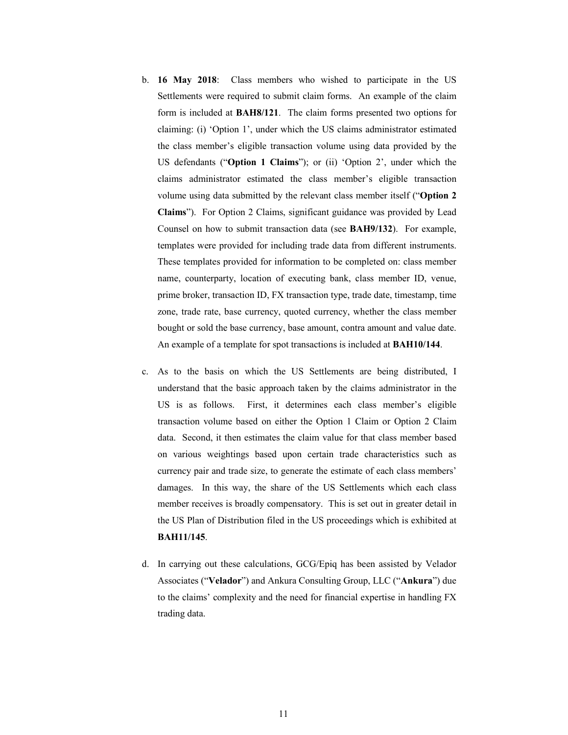- b. **16 May 2018**: Class members who wished to participate in the US Settlements were required to submit claim forms. An example of the claim form is included at **BAH8/121**. The claim forms presented two options for claiming: (i) 'Option 1', under which the US claims administrator estimated the class member's eligible transaction volume using data provided by the US defendants ("**Option 1 Claims**"); or (ii) 'Option 2', under which the claims administrator estimated the class member's eligible transaction volume using data submitted by the relevant class member itself ("**Option 2 Claims**"). For Option 2 Claims, significant guidance was provided by Lead Counsel on how to submit transaction data (see **BAH9/132**). For example, templates were provided for including trade data from different instruments. These templates provided for information to be completed on: class member name, counterparty, location of executing bank, class member ID, venue, prime broker, transaction ID, FX transaction type, trade date, timestamp, time zone, trade rate, base currency, quoted currency, whether the class member bought or sold the base currency, base amount, contra amount and value date. An example of a template for spot transactions is included at **BAH10/144**.
- c. As to the basis on which the US Settlements are being distributed, I understand that the basic approach taken by the claims administrator in the US is as follows. First, it determines each class member's eligible transaction volume based on either the Option 1 Claim or Option 2 Claim data. Second, it then estimates the claim value for that class member based on various weightings based upon certain trade characteristics such as currency pair and trade size, to generate the estimate of each class members' damages. In this way, the share of the US Settlements which each class member receives is broadly compensatory. This is set out in greater detail in the US Plan of Distribution filed in the US proceedings which is exhibited at **BAH11/145**.
- d. In carrying out these calculations, GCG/Epiq has been assisted by Velador Associates ("**Velador**") and Ankura Consulting Group, LLC ("**Ankura**") due to the claims' complexity and the need for financial expertise in handling FX trading data.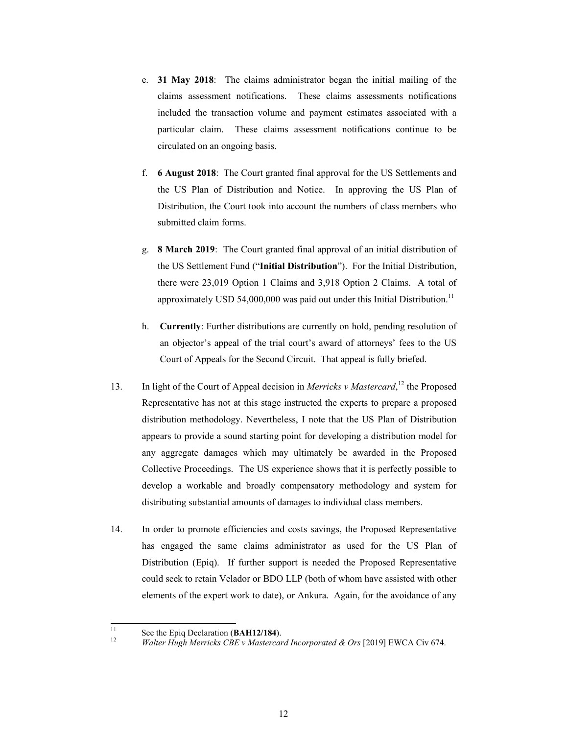- e. **31 May 2018**: The claims administrator began the initial mailing of the claims assessment notifications. These claims assessments notifications included the transaction volume and payment estimates associated with a particular claim. These claims assessment notifications continue to be circulated on an ongoing basis.
- f. **6 August 2018**: The Court granted final approval for the US Settlements and the US Plan of Distribution and Notice. In approving the US Plan of Distribution, the Court took into account the numbers of class members who submitted claim forms.
- g. **8 March 2019**: The Court granted final approval of an initial distribution of the US Settlement Fund ("**Initial Distribution**"). For the Initial Distribution, there were 23,019 Option 1 Claims and 3,918 Option 2 Claims. A total of approximately USD 54,000,000 was paid out under this Initial Distribution.<sup>11</sup>
- h. **Currently**: Further distributions are currently on hold, pending resolution of an objector's appeal of the trial court's award of attorneys' fees to the US Court of Appeals for the Second Circuit. That appeal is fully briefed.
- 13. In light of the Court of Appeal decision in *Merricks v Mastercard*,<sup>12</sup> the Proposed Representative has not at this stage instructed the experts to prepare a proposed distribution methodology. Nevertheless, I note that the US Plan of Distribution appears to provide a sound starting point for developing a distribution model for any aggregate damages which may ultimately be awarded in the Proposed Collective Proceedings. The US experience shows that it is perfectly possible to develop a workable and broadly compensatory methodology and system for distributing substantial amounts of damages to individual class members.
- 14. In order to promote efficiencies and costs savings, the Proposed Representative has engaged the same claims administrator as used for the US Plan of Distribution (Epiq). If further support is needed the Proposed Representative could seek to retain Velador or BDO LLP (both of whom have assisted with other elements of the expert work to date), or Ankura. Again, for the avoidance of any

 $11$ 

<sup>11</sup> See the Epiq Declaration (**BAH12/184**). 12 *Walter Hugh Merricks CBE v Mastercard Incorporated & Ors* [2019] EWCA Civ 674.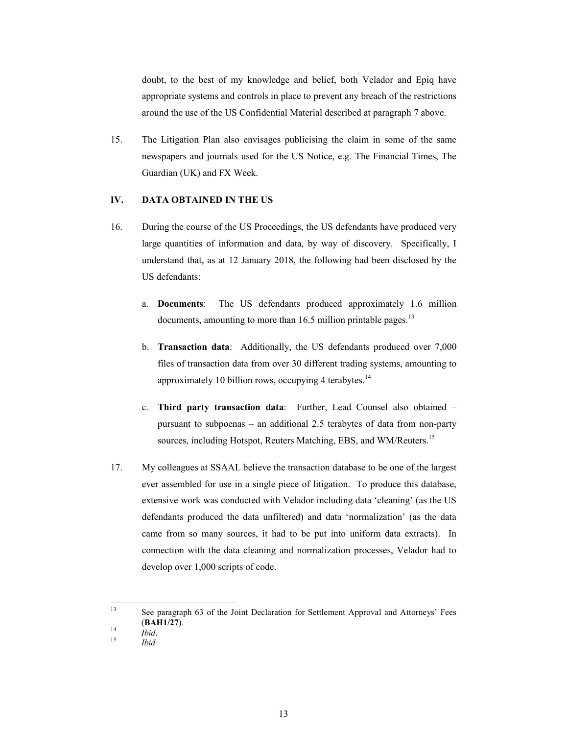doubt, to the best of my knowledge and belief, both Velador and Epiq have appropriate systems and controls in place to prevent any breach of the restrictions around the use of the US Confidential Material described at paragraph 7 above.

15. The Litigation Plan also envisages publicising the claim in some of the same newspapers and journals used for the US Notice, e.g. The Financial Times, The Guardian (UK) and FX Week.

## **IV. DATA OBTAINED IN THE US**

- 16. During the course of the US Proceedings, the US defendants have produced very large quantities of information and data, by way of discovery. Specifically, I understand that, as at 12 January 2018, the following had been disclosed by the US defendants:
	- a. **Documents**: The US defendants produced approximately 1.6 million documents, amounting to more than  $16.5$  million printable pages.<sup>13</sup>
	- b. **Transaction data**: Additionally, the US defendants produced over 7,000 files of transaction data from over 30 different trading systems, amounting to approximately 10 billion rows, occupying 4 terabytes. $14$
	- c. **Third party transaction data**: Further, Lead Counsel also obtained pursuant to subpoenas – an additional 2.5 terabytes of data from non-party sources, including Hotspot, Reuters Matching, EBS, and WM/Reuters.<sup>15</sup>
- 17. My colleagues at SSAAL believe the transaction database to be one of the largest ever assembled for use in a single piece of litigation. To produce this database, extensive work was conducted with Velador including data 'cleaning' (as the US defendants produced the data unfiltered) and data 'normalization' (as the data came from so many sources, it had to be put into uniform data extracts). In connection with the data cleaning and normalization processes, Velador had to develop over 1,000 scripts of code.

<sup>13</sup> See paragraph 63 of the Joint Declaration for Settlement Approval and Attorneys' Fees (**BAH1/27**). 14 *Ibid*. 15 *Ibid.*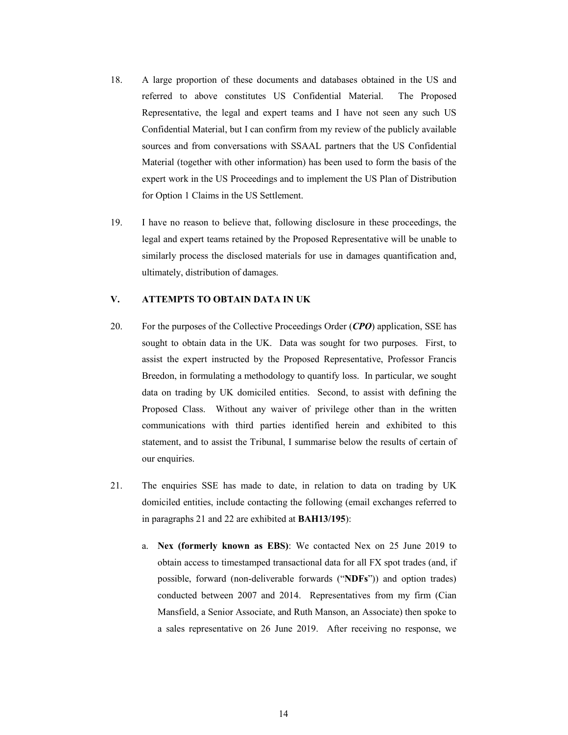- 18. A large proportion of these documents and databases obtained in the US and referred to above constitutes US Confidential Material. The Proposed Representative, the legal and expert teams and I have not seen any such US Confidential Material, but I can confirm from my review of the publicly available sources and from conversations with SSAAL partners that the US Confidential Material (together with other information) has been used to form the basis of the expert work in the US Proceedings and to implement the US Plan of Distribution for Option 1 Claims in the US Settlement.
- 19. I have no reason to believe that, following disclosure in these proceedings, the legal and expert teams retained by the Proposed Representative will be unable to similarly process the disclosed materials for use in damages quantification and, ultimately, distribution of damages.

### **V. ATTEMPTS TO OBTAIN DATA IN UK**

- 20. For the purposes of the Collective Proceedings Order (*CPO*) application, SSE has sought to obtain data in the UK. Data was sought for two purposes. First, to assist the expert instructed by the Proposed Representative, Professor Francis Breedon, in formulating a methodology to quantify loss. In particular, we sought data on trading by UK domiciled entities. Second, to assist with defining the Proposed Class. Without any waiver of privilege other than in the written communications with third parties identified herein and exhibited to this statement, and to assist the Tribunal, I summarise below the results of certain of our enquiries.
- 21. The enquiries SSE has made to date, in relation to data on trading by UK domiciled entities, include contacting the following (email exchanges referred to in paragraphs 21 and 22 are exhibited at **BAH13/195**):
	- a. **Nex (formerly known as EBS)**: We contacted Nex on 25 June 2019 to obtain access to timestamped transactional data for all FX spot trades (and, if possible, forward (non-deliverable forwards ("**NDFs**")) and option trades) conducted between 2007 and 2014. Representatives from my firm (Cian Mansfield, a Senior Associate, and Ruth Manson, an Associate) then spoke to a sales representative on 26 June 2019. After receiving no response, we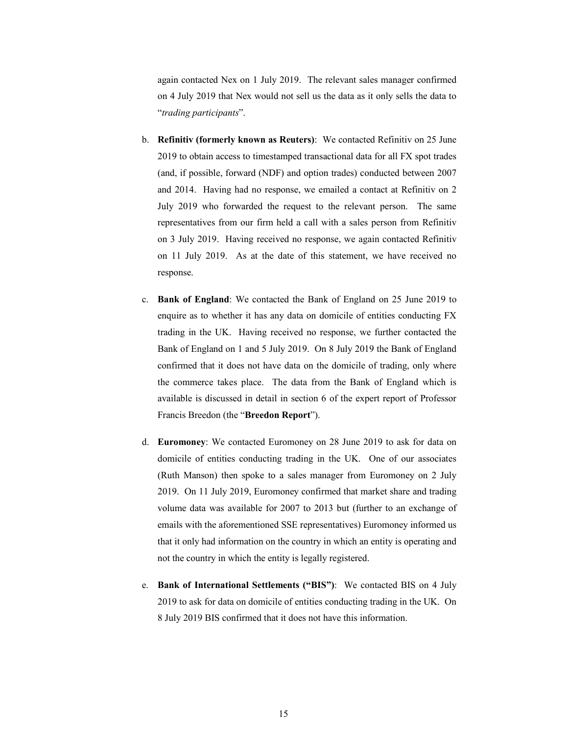again contacted Nex on 1 July 2019. The relevant sales manager confirmed on 4 July 2019 that Nex would not sell us the data as it only sells the data to "*trading participants*".

- b. **Refinitiv (formerly known as Reuters)**: We contacted Refinitiv on 25 June 2019 to obtain access to timestamped transactional data for all FX spot trades (and, if possible, forward (NDF) and option trades) conducted between 2007 and 2014. Having had no response, we emailed a contact at Refinitiv on 2 July 2019 who forwarded the request to the relevant person. The same representatives from our firm held a call with a sales person from Refinitiv on 3 July 2019. Having received no response, we again contacted Refinitiv on 11 July 2019. As at the date of this statement, we have received no response.
- c. **Bank of England**: We contacted the Bank of England on 25 June 2019 to enquire as to whether it has any data on domicile of entities conducting FX trading in the UK. Having received no response, we further contacted the Bank of England on 1 and 5 July 2019. On 8 July 2019 the Bank of England confirmed that it does not have data on the domicile of trading, only where the commerce takes place. The data from the Bank of England which is available is discussed in detail in section 6 of the expert report of Professor Francis Breedon (the "**Breedon Report**").
- d. **Euromoney**: We contacted Euromoney on 28 June 2019 to ask for data on domicile of entities conducting trading in the UK. One of our associates (Ruth Manson) then spoke to a sales manager from Euromoney on 2 July 2019. On 11 July 2019, Euromoney confirmed that market share and trading volume data was available for 2007 to 2013 but (further to an exchange of emails with the aforementioned SSE representatives) Euromoney informed us that it only had information on the country in which an entity is operating and not the country in which the entity is legally registered.
- e. **Bank of International Settlements ("BIS")**:We contacted BIS on 4 July 2019 to ask for data on domicile of entities conducting trading in the UK. On 8 July 2019 BIS confirmed that it does not have this information.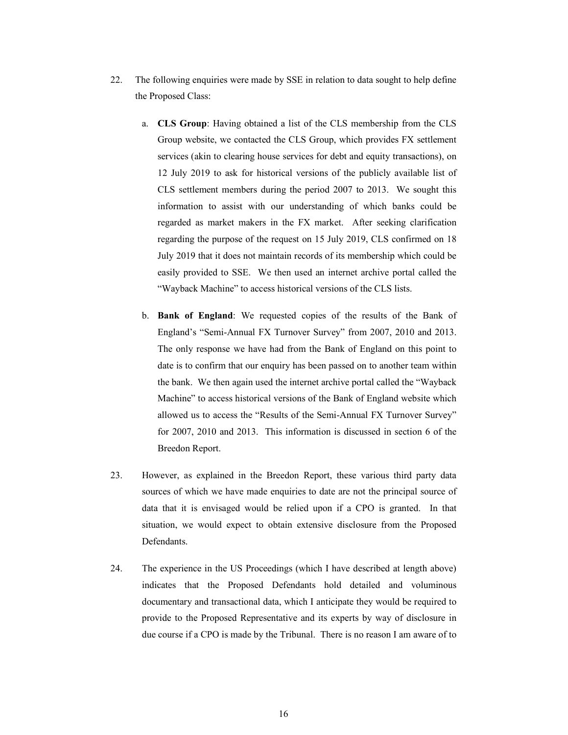- 22. The following enquiries were made by SSE in relation to data sought to help define the Proposed Class:
	- a. **CLS Group**: Having obtained a list of the CLS membership from the CLS Group website, we contacted the CLS Group, which provides FX settlement services (akin to clearing house services for debt and equity transactions), on 12 July 2019 to ask for historical versions of the publicly available list of CLS settlement members during the period 2007 to 2013. We sought this information to assist with our understanding of which banks could be regarded as market makers in the FX market. After seeking clarification regarding the purpose of the request on 15 July 2019, CLS confirmed on 18 July 2019 that it does not maintain records of its membership which could be easily provided to SSE. We then used an internet archive portal called the "Wayback Machine" to access historical versions of the CLS lists.
	- b. **Bank of England**: We requested copies of the results of the Bank of England's "Semi-Annual FX Turnover Survey" from 2007, 2010 and 2013. The only response we have had from the Bank of England on this point to date is to confirm that our enquiry has been passed on to another team within the bank. We then again used the internet archive portal called the "Wayback Machine" to access historical versions of the Bank of England website which allowed us to access the "Results of the Semi-Annual FX Turnover Survey" for 2007, 2010 and 2013. This information is discussed in section 6 of the Breedon Report.
- 23. However, as explained in the Breedon Report, these various third party data sources of which we have made enquiries to date are not the principal source of data that it is envisaged would be relied upon if a CPO is granted. In that situation, we would expect to obtain extensive disclosure from the Proposed Defendants.
- 24. The experience in the US Proceedings (which I have described at length above) indicates that the Proposed Defendants hold detailed and voluminous documentary and transactional data, which I anticipate they would be required to provide to the Proposed Representative and its experts by way of disclosure in due course if a CPO is made by the Tribunal. There is no reason I am aware of to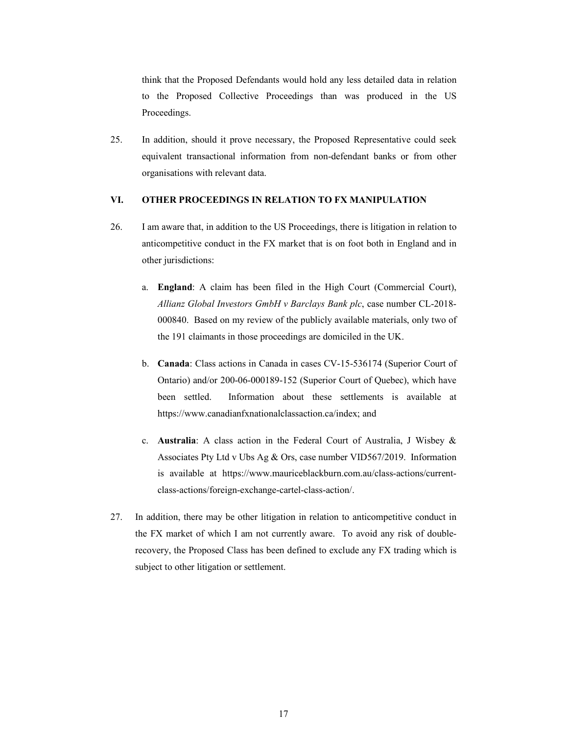think that the Proposed Defendants would hold any less detailed data in relation to the Proposed Collective Proceedings than was produced in the US Proceedings.

25. In addition, should it prove necessary, the Proposed Representative could seek equivalent transactional information from non-defendant banks or from other organisations with relevant data.

### **VI. OTHER PROCEEDINGS IN RELATION TO FX MANIPULATION**

- 26. I am aware that, in addition to the US Proceedings, there is litigation in relation to anticompetitive conduct in the FX market that is on foot both in England and in other jurisdictions:
	- a. **England**: A claim has been filed in the High Court (Commercial Court), *Allianz Global Investors GmbH v Barclays Bank plc*, case number CL-2018- 000840. Based on my review of the publicly available materials, only two of the 191 claimants in those proceedings are domiciled in the UK.
	- b. **Canada**: Class actions in Canada in cases CV-15-536174 (Superior Court of Ontario) and/or 200-06-000189-152 (Superior Court of Quebec), which have been settled. Information about these settlements is available at https://www.canadianfxnationalclassaction.ca/index; and
	- c. **Australia**: A class action in the Federal Court of Australia, J Wisbey & Associates Pty Ltd v Ubs Ag & Ors, case number VID567/2019. Information is available at https://www.mauriceblackburn.com.au/class-actions/currentclass-actions/foreign-exchange-cartel-class-action/.
- 27. In addition, there may be other litigation in relation to anticompetitive conduct in the FX market of which I am not currently aware. To avoid any risk of doublerecovery, the Proposed Class has been defined to exclude any FX trading which is subject to other litigation or settlement.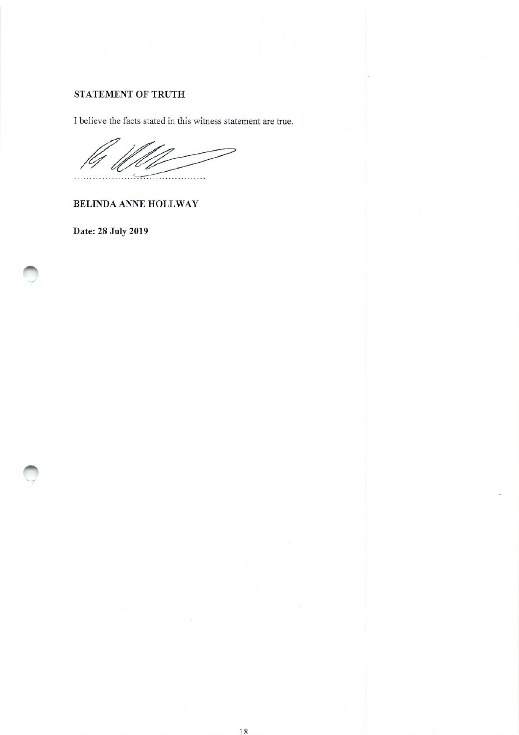# STATEMENT OF TRUTH

I believe the facts stated in this witness statement are true.

BELINDA ANNE HOLLWAY

Date: 28 July 2019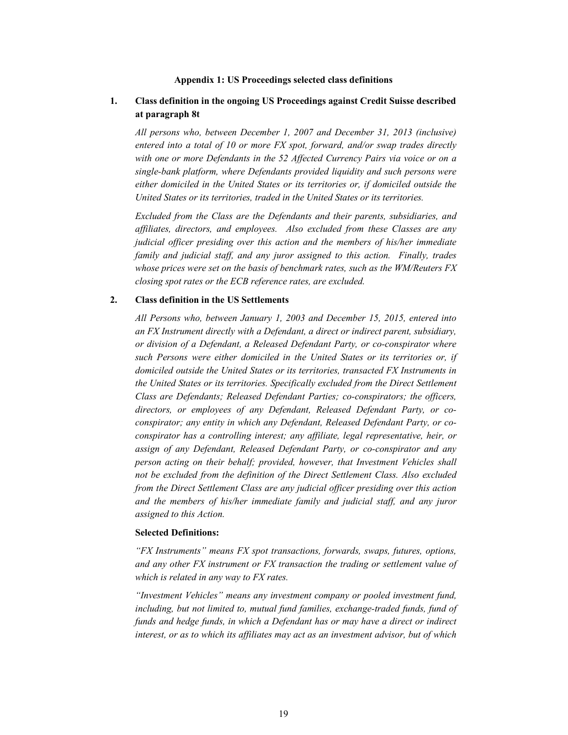#### **Appendix 1: US Proceedings selected class definitions**

## **1. Class definition in the ongoing US Proceedings against Credit Suisse described at paragraph 8t**

*All persons who, between December 1, 2007 and December 31, 2013 (inclusive) entered into a total of 10 or more FX spot, forward, and/or swap trades directly with one or more Defendants in the 52 Affected Currency Pairs via voice or on a single-bank platform, where Defendants provided liquidity and such persons were either domiciled in the United States or its territories or, if domiciled outside the United States or its territories, traded in the United States or its territories.* 

*Excluded from the Class are the Defendants and their parents, subsidiaries, and affiliates, directors, and employees. Also excluded from these Classes are any judicial officer presiding over this action and the members of his/her immediate family and judicial staff, and any juror assigned to this action. Finally, trades whose prices were set on the basis of benchmark rates, such as the WM/Reuters FX closing spot rates or the ECB reference rates, are excluded.*

#### **2. Class definition in the US Settlements**

*All Persons who, between January 1, 2003 and December 15, 2015, entered into an FX Instrument directly with a Defendant, a direct or indirect parent, subsidiary, or division of a Defendant, a Released Defendant Party, or co-conspirator where such Persons were either domiciled in the United States or its territories or, if domiciled outside the United States or its territories, transacted FX Instruments in the United States or its territories. Specifically excluded from the Direct Settlement Class are Defendants; Released Defendant Parties; co-conspirators; the officers, directors, or employees of any Defendant, Released Defendant Party, or coconspirator; any entity in which any Defendant, Released Defendant Party, or coconspirator has a controlling interest; any affiliate, legal representative, heir, or assign of any Defendant, Released Defendant Party, or co-conspirator and any person acting on their behalf; provided, however, that Investment Vehicles shall not be excluded from the definition of the Direct Settlement Class. Also excluded from the Direct Settlement Class are any judicial officer presiding over this action and the members of his/her immediate family and judicial staff, and any juror assigned to this Action.* 

#### **Selected Definitions:**

*"FX Instruments" means FX spot transactions, forwards, swaps, futures, options, and any other FX instrument or FX transaction the trading or settlement value of which is related in any way to FX rates.* 

*"Investment Vehicles" means any investment company or pooled investment fund,*  including, but not limited to, mutual fund families, exchange-traded funds, fund of funds and hedge funds, in which a Defendant has or may have a direct or indirect *interest, or as to which its affiliates may act as an investment advisor, but of which*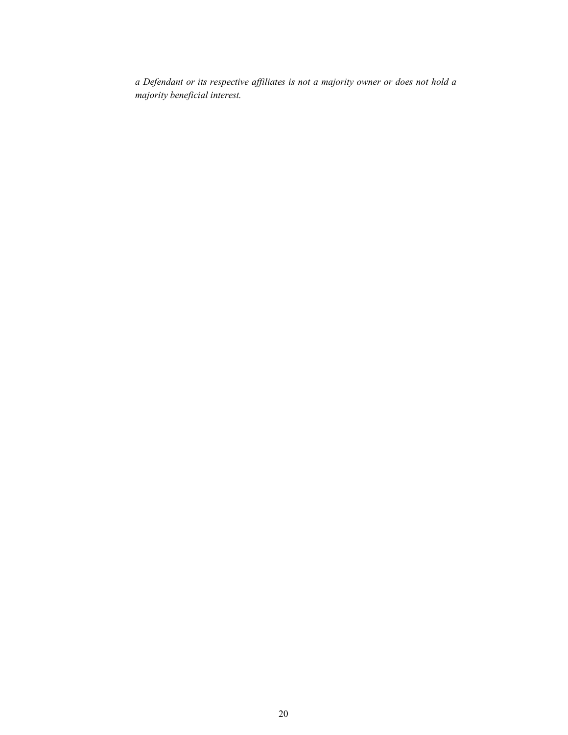*a Defendant or its respective affiliates is not a majority owner or does not hold a majority beneficial interest.*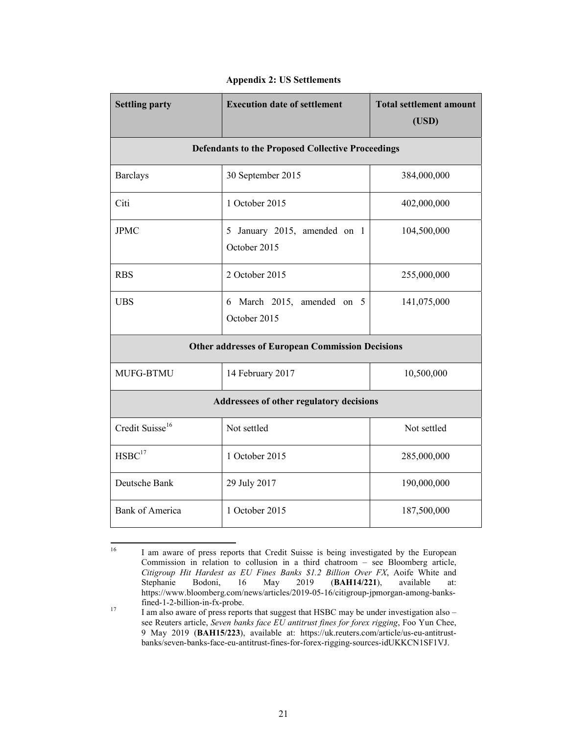| <b>Settling party</b>                                    | <b>Execution date of settlement</b>           | <b>Total settlement amount</b><br>(USD) |
|----------------------------------------------------------|-----------------------------------------------|-----------------------------------------|
| <b>Defendants to the Proposed Collective Proceedings</b> |                                               |                                         |
| <b>Barclays</b>                                          | 30 September 2015                             | 384,000,000                             |
| Citi                                                     | 1 October 2015                                | 402,000,000                             |
| <b>JPMC</b>                                              | 5 January 2015, amended on 1<br>October 2015  | 104,500,000                             |
| <b>RBS</b>                                               | 2 October 2015                                | 255,000,000                             |
| <b>UBS</b>                                               | 6 March 2015,<br>amended on 5<br>October 2015 | 141,075,000                             |
| <b>Other addresses of European Commission Decisions</b>  |                                               |                                         |
| MUFG-BTMU                                                | 14 February 2017                              | 10,500,000                              |
| Addressees of other regulatory decisions                 |                                               |                                         |
| Credit Suisse <sup>16</sup>                              | Not settled                                   | Not settled                             |
| HSBC <sup>17</sup>                                       | 1 October 2015                                | 285,000,000                             |
| Deutsche Bank                                            | 29 July 2017                                  | 190,000,000                             |
| <b>Bank of America</b>                                   | 1 October 2015                                | 187,500,000                             |

### **Appendix 2: US Settlements**

 $16\,$ I am aware of press reports that Credit Suisse is being investigated by the European Commission in relation to collusion in a third chatroom – see Bloomberg article, *Citigroup Hit Hardest as EU Fines Banks \$1.2 Billion Over FX*, Aoife White and Stephanie Bodoni, 16 May 2019 (**BAH14/221**), available at: https://www.bloomberg.com/news/articles/2019-05-16/citigroup-jpmorgan-among-banks-

fined-1-2-billion-in-fx-probe.<br>
17 I am also aware of press reports that suggest that HSBC may be under investigation also – see Reuters article, *Seven banks face EU antitrust fines for forex rigging*, Foo Yun Chee, 9 May 2019 (**BAH15/223**), available at: https://uk.reuters.com/article/us-eu-antitrustbanks/seven-banks-face-eu-antitrust-fines-for-forex-rigging-sources-idUKKCN1SF1VJ.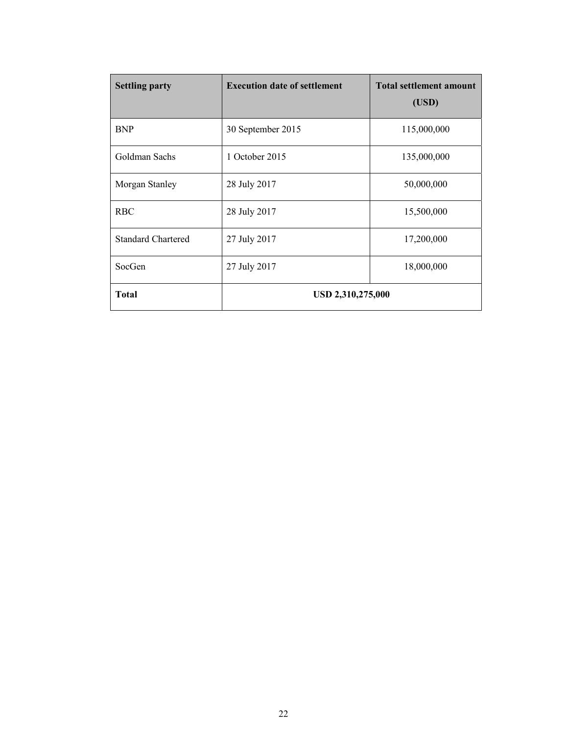| <b>Settling party</b>     | <b>Execution date of settlement</b> | <b>Total settlement amount</b><br>(USD) |
|---------------------------|-------------------------------------|-----------------------------------------|
| <b>BNP</b>                | 30 September 2015                   | 115,000,000                             |
| Goldman Sachs             | 1 October 2015                      | 135,000,000                             |
| Morgan Stanley            | 28 July 2017                        | 50,000,000                              |
| <b>RBC</b>                | 28 July 2017                        | 15,500,000                              |
| <b>Standard Chartered</b> | 27 July 2017                        | 17,200,000                              |
| SocGen                    | 27 July 2017                        | 18,000,000                              |
| Total                     | USD 2,310,275,000                   |                                         |